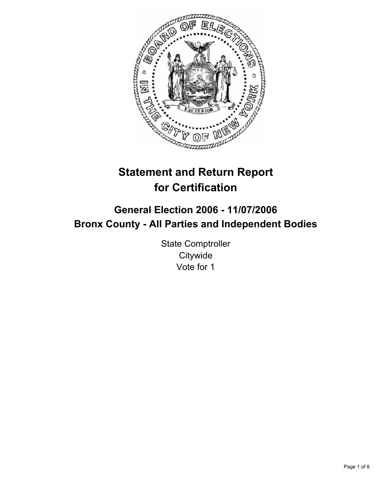

# **Statement and Return Report for Certification**

## **General Election 2006 - 11/07/2006 Bronx County - All Parties and Independent Bodies**

State Comptroller **Citywide** Vote for 1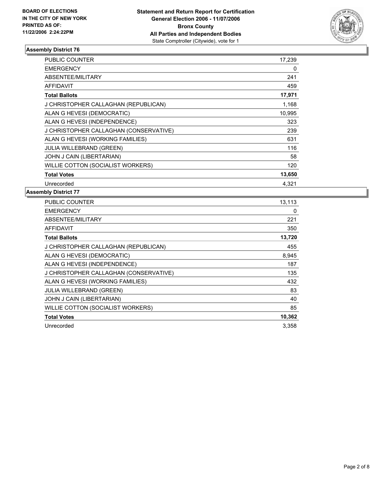

| <b>PUBLIC COUNTER</b>                  | 17,239 |
|----------------------------------------|--------|
| <b>EMERGENCY</b>                       | 0      |
| ABSENTEE/MILITARY                      | 241    |
| <b>AFFIDAVIT</b>                       | 459    |
| <b>Total Ballots</b>                   | 17,971 |
| J CHRISTOPHER CALLAGHAN (REPUBLICAN)   | 1,168  |
| ALAN G HEVESI (DEMOCRATIC)             | 10,995 |
| ALAN G HEVESI (INDEPENDENCE)           | 323    |
| J CHRISTOPHER CALLAGHAN (CONSERVATIVE) | 239    |
| ALAN G HEVESI (WORKING FAMILIES)       | 631    |
| <b>JULIA WILLEBRAND (GREEN)</b>        | 116    |
| JOHN J CAIN (LIBERTARIAN)              | 58     |
| WILLIE COTTON (SOCIALIST WORKERS)      | 120    |
| <b>Total Votes</b>                     | 13,650 |
| Unrecorded                             | 4.321  |

| PUBLIC COUNTER                         | 13,113 |
|----------------------------------------|--------|
| <b>EMERGENCY</b>                       | 0      |
| ABSENTEE/MILITARY                      | 221    |
| <b>AFFIDAVIT</b>                       | 350    |
| <b>Total Ballots</b>                   | 13,720 |
| J CHRISTOPHER CALLAGHAN (REPUBLICAN)   | 455    |
| ALAN G HEVESI (DEMOCRATIC)             | 8,945  |
| ALAN G HEVESI (INDEPENDENCE)           | 187    |
| J CHRISTOPHER CALLAGHAN (CONSERVATIVE) | 135    |
| ALAN G HEVESI (WORKING FAMILIES)       | 432    |
| <b>JULIA WILLEBRAND (GREEN)</b>        | 83     |
| JOHN J CAIN (LIBERTARIAN)              | 40     |
| WILLIE COTTON (SOCIALIST WORKERS)      | 85     |
| <b>Total Votes</b>                     | 10,362 |
| Unrecorded                             | 3,358  |
|                                        |        |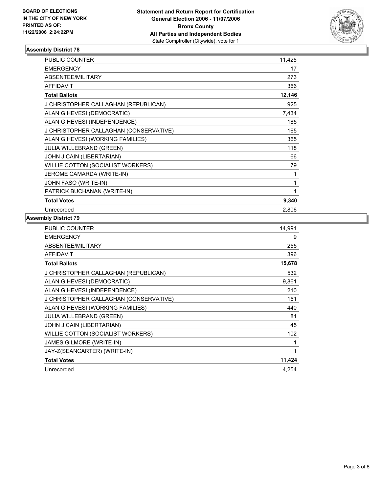

| <b>PUBLIC COUNTER</b>                  | 11,425 |
|----------------------------------------|--------|
| <b>EMERGENCY</b>                       | 17     |
| ABSENTEE/MILITARY                      | 273    |
| <b>AFFIDAVIT</b>                       | 366    |
| <b>Total Ballots</b>                   | 12,146 |
| J CHRISTOPHER CALLAGHAN (REPUBLICAN)   | 925    |
| ALAN G HEVESI (DEMOCRATIC)             | 7,434  |
| ALAN G HEVESI (INDEPENDENCE)           | 185    |
| J CHRISTOPHER CALLAGHAN (CONSERVATIVE) | 165    |
| ALAN G HEVESI (WORKING FAMILIES)       | 365    |
| <b>JULIA WILLEBRAND (GREEN)</b>        | 118    |
| JOHN J CAIN (LIBERTARIAN)              | 66     |
| WILLIE COTTON (SOCIALIST WORKERS)      | 79     |
| JEROME CAMARDA (WRITE-IN)              | 1      |
| JOHN FASO (WRITE-IN)                   |        |
| PATRICK BUCHANAN (WRITE-IN)            |        |
| <b>Total Votes</b>                     | 9,340  |
| Unrecorded                             | 2,806  |

| PUBLIC COUNTER                         | 14,991 |
|----------------------------------------|--------|
| <b>EMERGENCY</b>                       | 9      |
| ABSENTEE/MILITARY                      | 255    |
| <b>AFFIDAVIT</b>                       | 396    |
| <b>Total Ballots</b>                   | 15,678 |
| J CHRISTOPHER CALLAGHAN (REPUBLICAN)   | 532    |
| ALAN G HEVESI (DEMOCRATIC)             | 9,861  |
| ALAN G HEVESI (INDEPENDENCE)           | 210    |
| J CHRISTOPHER CALLAGHAN (CONSERVATIVE) | 151    |
| ALAN G HEVESI (WORKING FAMILIES)       | 440    |
| <b>JULIA WILLEBRAND (GREEN)</b>        | 81     |
| JOHN J CAIN (LIBERTARIAN)              | 45     |
| WILLIE COTTON (SOCIALIST WORKERS)      | 102    |
| JAMES GILMORE (WRITE-IN)               |        |
| JAY-Z(SEANCARTER) (WRITE-IN)           |        |
| <b>Total Votes</b>                     | 11,424 |
| Unrecorded                             | 4,254  |
|                                        |        |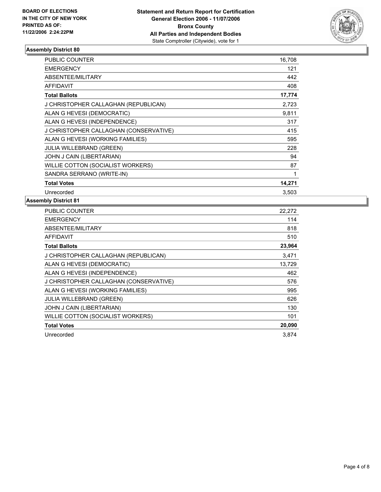

| PUBLIC COUNTER                         | 16,708 |  |
|----------------------------------------|--------|--|
| <b>EMERGENCY</b>                       | 121    |  |
| ABSENTEE/MILITARY                      | 442    |  |
| <b>AFFIDAVIT</b>                       | 408    |  |
| <b>Total Ballots</b>                   | 17,774 |  |
| J CHRISTOPHER CALLAGHAN (REPUBLICAN)   | 2,723  |  |
| ALAN G HEVESI (DEMOCRATIC)             | 9,811  |  |
| ALAN G HEVESI (INDEPENDENCE)           | 317    |  |
| J CHRISTOPHER CALLAGHAN (CONSERVATIVE) | 415    |  |
| ALAN G HEVESI (WORKING FAMILIES)       | 595    |  |
| <b>JULIA WILLEBRAND (GREEN)</b>        | 228    |  |
| JOHN J CAIN (LIBERTARIAN)              | 94     |  |
| WILLIE COTTON (SOCIALIST WORKERS)      | 87     |  |
| SANDRA SERRANO (WRITE-IN)              |        |  |
| <b>Total Votes</b>                     | 14,271 |  |
| Unrecorded                             | 3,503  |  |

| PUBLIC COUNTER                         | 22,272 |
|----------------------------------------|--------|
| <b>EMERGENCY</b>                       | 114    |
| ABSENTEE/MILITARY                      | 818    |
| AFFIDAVIT                              | 510    |
| <b>Total Ballots</b>                   | 23,964 |
| J CHRISTOPHER CALLAGHAN (REPUBLICAN)   | 3,471  |
| ALAN G HEVESI (DEMOCRATIC)             | 13,729 |
| ALAN G HEVESI (INDEPENDENCE)           | 462    |
| J CHRISTOPHER CALLAGHAN (CONSERVATIVE) | 576    |
| ALAN G HEVESI (WORKING FAMILIES)       | 995    |
| <b>JULIA WILLEBRAND (GREEN)</b>        | 626    |
| JOHN J CAIN (LIBERTARIAN)              | 130    |
| WILLIE COTTON (SOCIALIST WORKERS)      | 101    |
| <b>Total Votes</b>                     | 20,090 |
| Unrecorded                             | 3.874  |
|                                        |        |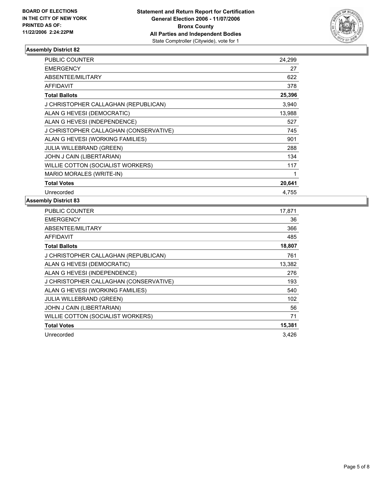

| PUBLIC COUNTER                         | 24,299 |
|----------------------------------------|--------|
| <b>EMERGENCY</b>                       | 27     |
| ABSENTEE/MILITARY                      | 622    |
| <b>AFFIDAVIT</b>                       | 378    |
| <b>Total Ballots</b>                   | 25,396 |
| J CHRISTOPHER CALLAGHAN (REPUBLICAN)   | 3,940  |
| ALAN G HEVESI (DEMOCRATIC)             | 13,988 |
| ALAN G HEVESI (INDEPENDENCE)           | 527    |
| J CHRISTOPHER CALLAGHAN (CONSERVATIVE) | 745    |
| ALAN G HEVESI (WORKING FAMILIES)       | 901    |
| JULIA WILLEBRAND (GREEN)               | 288    |
| JOHN J CAIN (LIBERTARIAN)              | 134    |
| WILLIE COTTON (SOCIALIST WORKERS)      | 117    |
| MARIO MORALES (WRITE-IN)               |        |
| <b>Total Votes</b>                     | 20,641 |
| Unrecorded                             | 4.755  |

| PUBLIC COUNTER                         | 17,871 |
|----------------------------------------|--------|
| <b>EMERGENCY</b>                       | 36     |
| ABSENTEE/MILITARY                      | 366    |
| <b>AFFIDAVIT</b>                       | 485    |
| <b>Total Ballots</b>                   | 18,807 |
| J CHRISTOPHER CALLAGHAN (REPUBLICAN)   | 761    |
| ALAN G HEVESI (DEMOCRATIC)             | 13,382 |
| ALAN G HEVESI (INDEPENDENCE)           | 276    |
| J CHRISTOPHER CALLAGHAN (CONSERVATIVE) | 193    |
| ALAN G HEVESI (WORKING FAMILIES)       | 540    |
| JULIA WILLEBRAND (GREEN)               | 102    |
| JOHN J CAIN (LIBERTARIAN)              | 56     |
| WILLIE COTTON (SOCIALIST WORKERS)      | 71     |
| <b>Total Votes</b>                     | 15,381 |
| Unrecorded                             | 3,426  |
|                                        |        |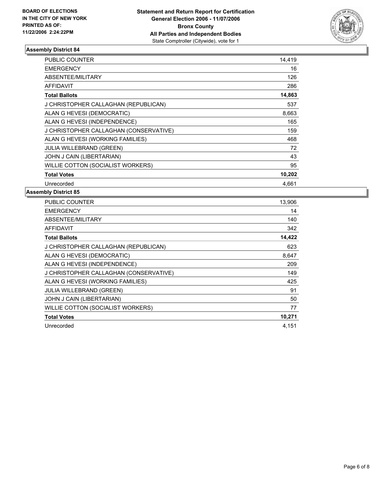

| <b>PUBLIC COUNTER</b>                  | 14,419 |
|----------------------------------------|--------|
| <b>EMERGENCY</b>                       | 16     |
| ABSENTEE/MILITARY                      | 126    |
| <b>AFFIDAVIT</b>                       | 286    |
| <b>Total Ballots</b>                   | 14,863 |
| J CHRISTOPHER CALLAGHAN (REPUBLICAN)   | 537    |
| ALAN G HEVESI (DEMOCRATIC)             | 8,663  |
| ALAN G HEVESI (INDEPENDENCE)           | 165    |
| J CHRISTOPHER CALLAGHAN (CONSERVATIVE) | 159    |
| ALAN G HEVESI (WORKING FAMILIES)       | 468    |
| <b>JULIA WILLEBRAND (GREEN)</b>        | 72     |
| JOHN J CAIN (LIBERTARIAN)              | 43     |
| WILLIE COTTON (SOCIALIST WORKERS)      | 95     |
| <b>Total Votes</b>                     | 10,202 |
| Unrecorded                             | 4.661  |

| PUBLIC COUNTER                         | 13,906 |
|----------------------------------------|--------|
| <b>EMERGENCY</b>                       | 14     |
| ABSENTEE/MILITARY                      | 140    |
| <b>AFFIDAVIT</b>                       | 342    |
| <b>Total Ballots</b>                   | 14,422 |
| J CHRISTOPHER CALLAGHAN (REPUBLICAN)   | 623    |
| ALAN G HEVESI (DEMOCRATIC)             | 8,647  |
| ALAN G HEVESI (INDEPENDENCE)           | 209    |
| J CHRISTOPHER CALLAGHAN (CONSERVATIVE) | 149    |
| ALAN G HEVESI (WORKING FAMILIES)       | 425    |
| JULIA WILLEBRAND (GREEN)               | 91     |
| JOHN J CAIN (LIBERTARIAN)              | 50     |
| WILLIE COTTON (SOCIALIST WORKERS)      | 77     |
| <b>Total Votes</b>                     | 10,271 |
| Unrecorded                             | 4,151  |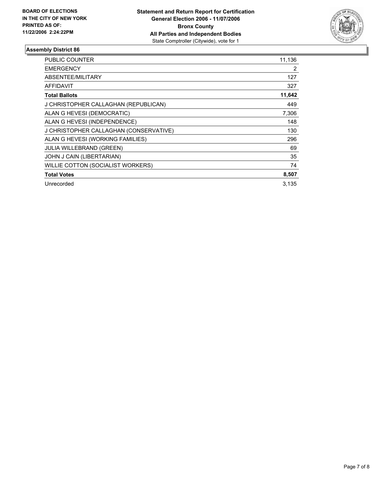

| PUBLIC COUNTER                         | 11,136 |
|----------------------------------------|--------|
| <b>EMERGENCY</b>                       | 2      |
| ABSENTEE/MILITARY                      | 127    |
| <b>AFFIDAVIT</b>                       | 327    |
| <b>Total Ballots</b>                   | 11,642 |
| J CHRISTOPHER CALLAGHAN (REPUBLICAN)   | 449    |
| ALAN G HEVESI (DEMOCRATIC)             | 7,306  |
| ALAN G HEVESI (INDEPENDENCE)           | 148    |
| J CHRISTOPHER CALLAGHAN (CONSERVATIVE) | 130    |
| ALAN G HEVESI (WORKING FAMILIES)       | 296    |
| <b>JULIA WILLEBRAND (GREEN)</b>        | 69     |
| JOHN J CAIN (LIBERTARIAN)              | 35     |
| WILLIE COTTON (SOCIALIST WORKERS)      | 74     |
| <b>Total Votes</b>                     | 8,507  |
| Unrecorded                             | 3.135  |